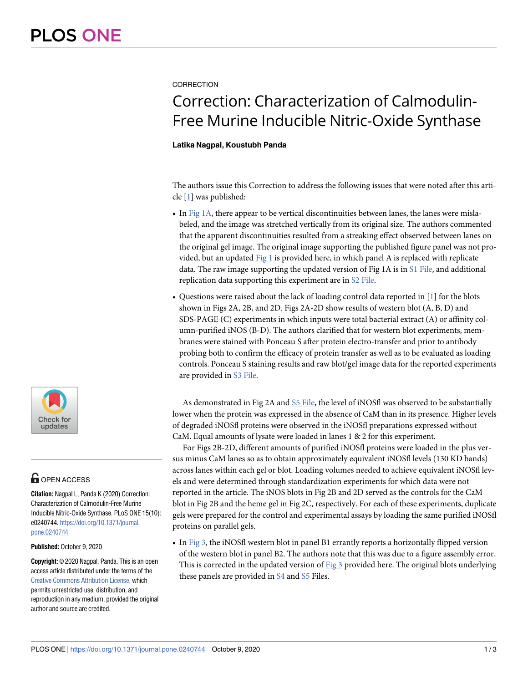### <span id="page-0-0"></span>**CORRECTION**

# Correction: Characterization of Calmodulin-Free Murine Inducible Nitric-Oxide Synthase

#### **Latika Nagpal, Koustubh Panda**

The authors issue this Correction to address the following issues that were noted after this article  $[1]$  $[1]$  $[1]$  was published:

- In  $Fig 1A$ , there appear to be vertical discontinuities between lanes, the lanes were mislabeled, and the image was stretched vertically from its original size. The authors commented that the apparent discontinuities resulted from a streaking effect observed between lanes on the original gel image. The original image supporting the published figure panel was not provided, but an updated  $Fig 1$  is provided here, in which panel A is replaced with replicate data. The raw image supporting the updated version of Fig 1A is in [S1 File](#page-2-0), and additional replication data supporting this experiment are in [S2 File.](#page-2-0)
- Questions were raised about the lack of loading control data reported in [[1](#page-2-0)] for the blots shown in Figs 2A, 2B, and 2D. Figs 2A-2D show results of western blot (A, B, D) and SDS-PAGE (C) experiments in which inputs were total bacterial extract (A) or affinity column-purified iNOS (B-D). The authors clarified that for western blot experiments, membranes were stained with Ponceau S after protein electro-transfer and prior to antibody probing both to confirm the efficacy of protein transfer as well as to be evaluated as loading controls. Ponceau S staining results and raw blot/gel image data for the reported experiments are provided in [S3 File](#page-2-0).

As demonstrated in Fig 2A and [S5 File,](#page-2-0) the level of iNOSfl was observed to be substantially lower when the protein was expressed in the absence of CaM than in its presence. Higher levels of degraded iNOSfl proteins were observed in the iNOSfl preparations expressed without CaM. Equal amounts of lysate were loaded in lanes 1 & 2 for this experiment.

For Figs 2B-2D, different amounts of purified iNOSfl proteins were loaded in the plus versus minus CaM lanes so as to obtain approximately equivalent iNOSfl levels (130 KD bands) across lanes within each gel or blot. Loading volumes needed to achieve equivalent iNOSfl levels and were determined through standardization experiments for which data were not reported in the article. The iNOS blots in Fig 2B and 2D served as the controls for the CaM blot in Fig 2B and the heme gel in Fig 2C, respectively. For each of these experiments, duplicate gels were prepared for the control and experimental assays by loading the same purified iNOSfl proteins on parallel gels.

• In [Fig 3](#page-1-0), the iNOSfl western blot in panel B1 errantly reports a horizontally flipped version of the western blot in panel B2. The authors note that this was due to a figure assembly error. This is corrected in the updated version of [Fig 3](#page-1-0) provided here. The original blots underlying these panels are provided in  $\underline{S4}$  $\underline{S4}$  $\underline{S4}$  and  $\underline{S5}$  $\underline{S5}$  $\underline{S5}$  Files.



## **G** OPEN ACCESS

**Citation:** Nagpal L, Panda K (2020) Correction: Characterization of Calmodulin-Free Murine Inducible Nitric-Oxide Synthase. PLoS ONE 15(10): e0240744. [https://doi.org/10.1371/journal.](https://doi.org/10.1371/journal.pone.0240744) [pone.0240744](https://doi.org/10.1371/journal.pone.0240744)

**Published:** October 9, 2020

**Copyright:** © 2020 Nagpal, Panda. This is an open access article distributed under the terms of the [Creative Commons Attribution License,](http://creativecommons.org/licenses/by/4.0/) which permits unrestricted use, distribution, and reproduction in any medium, provided the original author and source are credited.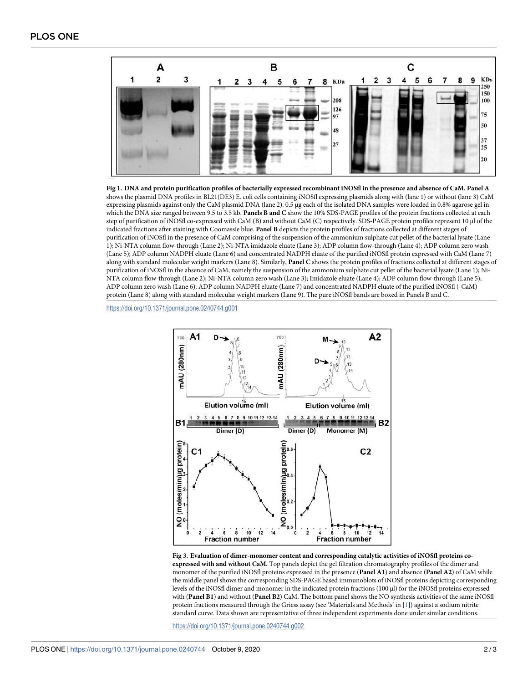<span id="page-1-0"></span>

**[Fig 1.](#page-0-0) DNA and protein purification profiles of bacterially expressed recombinant iNOSfl in the presence and absence of CaM. Panel A** shows the plasmid DNA profiles in BL21(DE3) E. coli cells containing iNOSfl expressing plasmids along with (lane 1) or without (lane 3) CaM expressing plasmids against only the CaM plasmid DNA (lane 2). 0.5 μg each of the isolated DNA samples were loaded in 0.8% agarose gel in which the DNA size ranged between 9.5 to 3.5 kb. **Panels B and C** show the 10% SDS-PAGE profiles of the protein fractions collected at each step of purification of iNOSfl co-expressed with CaM (B) and without CaM (C) respectively. SDS-PAGE protein profiles represent 10 μl of the indicated fractions after staining with Coomassie blue. **Panel B** depicts the protein profiles of fractions collected at different stages of purification of iNOSfl in the presence of CaM comprising of the suspension of the ammonium sulphate cut pellet of the bacterial lysate (Lane 1); Ni-NTA column flow-through (Lane 2); Ni-NTA imidazole eluate (Lane 3); ADP column flow-through (Lane 4); ADP column zero wash (Lane 5); ADP column NADPH eluate (Lane 6) and concentrated NADPH eluate of the purified iNOSfl protein expressed with CaM (Lane 7) along with standard molecular weight markers (Lane 8). Similarly, **Panel C** shows the protein profiles of fractions collected at different stages of purification of iNOSfl in the absence of CaM, namely the suspension of the ammonium sulphate cut pellet of the bacterial lysate (Lane 1); Ni-NTA column flow-through (Lane 2); Ni-NTA column zero wash (Lane 3); Imidazole eluate (Lane 4); ADP column flow-through (Lane 5); ADP column zero wash (Lane 6); ADP column NADPH eluate (Lane 7) and concentrated NADPH eluate of the purified iNOSfl (-CaM) protein (Lane 8) along with standard molecular weight markers (Lane 9). The pure iNOSfl bands are boxed in Panels B and C.

<https://doi.org/10.1371/journal.pone.0240744.g001>



**[Fig 3. E](#page-0-0)valuation of dimer-monomer content and corresponding catalytic activities of iNOSfl proteins coexpressed with and without CaM.** Top panels depict the gel filtration chromatography profiles of the dimer and monomer of the purified iNOSfl proteins expressed in the presence (**Panel A1**) and absence (**Panel A2**) of CaM while the middle panel shows the corresponding SDS-PAGE based immunoblots of iNOSfl proteins depicting corresponding levels of the iNOSfl dimer and monomer in the indicated protein fractions (100 μl) for the iNOSfl proteins expressed with (**Panel B1**) and without (**Panel B2**) CaM. The bottom panel shows the NO synthesis activities of the same iNOSfl protein fractions measured through the Griess assay (see 'Materials and Methods' in [[1](#page-2-0)]) against a sodium nitrite standard curve. Data shown are representative of three independent experiments done under similar conditions.

<https://doi.org/10.1371/journal.pone.0240744.g002>